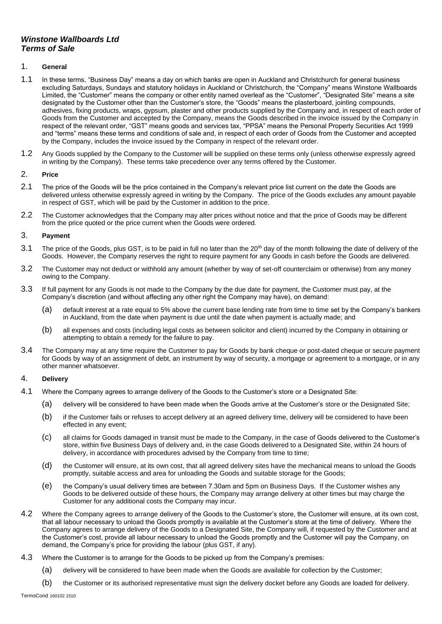# *Winstone Wallboards Ltd Terms of Sale*

### 1. **General**

- 1.1 In these terms, "Business Day" means a day on which banks are open in Auckland and Christchurch for general business excluding Saturdays, Sundays and statutory holidays in Auckland or Christchurch, the "Company" means Winstone Wallboards Limited, the "Customer" means the company or other entity named overleaf as the "Customer", "Designated Site" means a site designated by the Customer other than the Customer's store, the "Goods" means the plasterboard, jointing compounds, adhesives, fixing products, wraps, gypsum, plaster and other products supplied by the Company and, in respect of each order of Goods from the Customer and accepted by the Company, means the Goods described in the invoice issued by the Company in respect of the relevant order, "GST" means goods and services tax, "PPSA" means the Personal Property Securities Act 1999 and "terms" means these terms and conditions of sale and, in respect of each order of Goods from the Customer and accepted by the Company, includes the invoice issued by the Company in respect of the relevant order.
- 1.2 Any Goods supplied by the Company to the Customer will be supplied on these terms only (unless otherwise expressly agreed in writing by the Company). These terms take precedence over any terms offered by the Customer.

# 2. **Price**

- 2.1 The price of the Goods will be the price contained in the Company's relevant price list current on the date the Goods are delivered unless otherwise expressly agreed in writing by the Company. The price of the Goods excludes any amount payable in respect of GST, which will be paid by the Customer in addition to the price.
- 2.2 The Customer acknowledges that the Company may alter prices without notice and that the price of Goods may be different from the price quoted or the price current when the Goods were ordered.

### 3. **Payment**

- 3.1 The price of the Goods, plus GST, is to be paid in full no later than the 20<sup>th</sup> day of the month following the date of delivery of the Goods. However, the Company reserves the right to require payment for any Goods in cash before the Goods are delivered.
- 3.2 The Customer may not deduct or withhold any amount (whether by way of set-off counterclaim or otherwise) from any money owing to the Company.
- 3.3 If full payment for any Goods is not made to the Company by the due date for payment, the Customer must pay, at the Company's discretion (and without affecting any other right the Company may have), on demand:
	- (a) default interest at a rate equal to 5% above the current base lending rate from time to time set by the Company's bankers in Auckland, from the date when payment is due until the date when payment is actually made; and
	- (b) all expenses and costs (including legal costs as between solicitor and client) incurred by the Company in obtaining or attempting to obtain a remedy for the failure to pay.
- 3.4 The Company may at any time require the Customer to pay for Goods by bank cheque or post-dated cheque or secure payment for Goods by way of an assignment of debt, an instrument by way of security, a mortgage or agreement to a mortgage, or in any other manner whatsoever.

#### 4. **Delivery**

- 4.1 Where the Company agrees to arrange delivery of the Goods to the Customer's store or a Designated Site:
	- (a) delivery will be considered to have been made when the Goods arrive at the Customer's store or the Designated Site;
	- (b) if the Customer fails or refuses to accept delivery at an agreed delivery time, delivery will be considered to have been effected in any event;
	- (c) all claims for Goods damaged in transit must be made to the Company, in the case of Goods delivered to the Customer's store, within five Business Days of delivery and, in the case Goods delivered to a Designated Site, within 24 hours of delivery, in accordance with procedures advised by the Company from time to time;
	- (d) the Customer will ensure, at its own cost, that all agreed delivery sites have the mechanical means to unload the Goods promptly, suitable access and area for unloading the Goods and suitable storage for the Goods;
	- (e) the Company's usual delivery times are between 7.30am and 5pm on Business Days. If the Customer wishes any Goods to be delivered outside of these hours, the Company may arrange delivery at other times but may charge the Customer for any additional costs the Company may incur.
- 4.2 Where the Company agrees to arrange delivery of the Goods to the Customer's store, the Customer will ensure, at its own cost, that all labour necessary to unload the Goods promptly is available at the Customer's store at the time of delivery. Where the Company agrees to arrange delivery of the Goods to a Designated Site, the Company will, if requested by the Customer and at the Customer's cost, provide all labour necessary to unload the Goods promptly and the Customer will pay the Company, on demand, the Company's price for providing the labour (plus GST, if any).
- 4.3 Where the Customer is to arrange for the Goods to be picked up from the Company's premises:
	- (a) delivery will be considered to have been made when the Goods are available for collection by the Customer;

(b) the Customer or its authorised representative must sign the delivery docket before any Goods are loaded for delivery.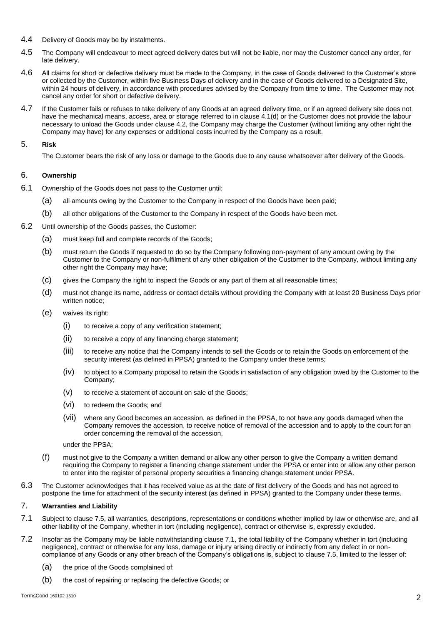- 4.4 Delivery of Goods may be by instalments.
- 4.5 The Company will endeavour to meet agreed delivery dates but will not be liable, nor may the Customer cancel any order, for late delivery.
- 4.6 All claims for short or defective delivery must be made to the Company, in the case of Goods delivered to the Customer's store or collected by the Customer, within five Business Days of delivery and in the case of Goods delivered to a Designated Site, within 24 hours of delivery, in accordance with procedures advised by the Company from time to time. The Customer may not cancel any order for short or defective delivery.
- 4.7 If the Customer fails or refuses to take delivery of any Goods at an agreed delivery time, or if an agreed delivery site does not have the mechanical means, access, area or storage referred to in clause 4.1(d) or the Customer does not provide the labour necessary to unload the Goods under clause 4.2, the Company may charge the Customer (without limiting any other right the Company may have) for any expenses or additional costs incurred by the Company as a result.

### 5. **Risk**

The Customer bears the risk of any loss or damage to the Goods due to any cause whatsoever after delivery of the Goods.

# 6. **Ownership**

- 6.1 Ownership of the Goods does not pass to the Customer until:
	- (a) all amounts owing by the Customer to the Company in respect of the Goods have been paid;
		- (b) all other obligations of the Customer to the Company in respect of the Goods have been met.
- 6.2 Until ownership of the Goods passes, the Customer:
	- (a) must keep full and complete records of the Goods;
	- (b) must return the Goods if requested to do so by the Company following non-payment of any amount owing by the Customer to the Company or non-fulfilment of any other obligation of the Customer to the Company, without limiting any other right the Company may have;
	- (c) gives the Company the right to inspect the Goods or any part of them at all reasonable times;
	- (d) must not change its name, address or contact details without providing the Company with at least 20 Business Days prior written notice;
	- (e) waives its right:
		- (i) to receive a copy of any verification statement;
		- (ii) to receive a copy of any financing charge statement;
		- (iii) to receive any notice that the Company intends to sell the Goods or to retain the Goods on enforcement of the security interest (as defined in PPSA) granted to the Company under these terms;
		- (iv) to object to a Company proposal to retain the Goods in satisfaction of any obligation owed by the Customer to the Company;
		- (v) to receive a statement of account on sale of the Goods;
		- (vi) to redeem the Goods; and
		- (vii) where any Good becomes an accession, as defined in the PPSA, to not have any goods damaged when the Company removes the accession, to receive notice of removal of the accession and to apply to the court for an order concerning the removal of the accession,

under the PPSA;

- (f) must not give to the Company a written demand or allow any other person to give the Company a written demand requiring the Company to register a financing change statement under the PPSA or enter into or allow any other person to enter into the register of personal property securities a financing change statement under PPSA.
- 6.3 The Customer acknowledges that it has received value as at the date of first delivery of the Goods and has not agreed to postpone the time for attachment of the security interest (as defined in PPSA) granted to the Company under these terms.

### 7. **Warranties and Liability**

- 7.1 Subject to clause 7.5, all warranties, descriptions, representations or conditions whether implied by law or otherwise are, and all other liability of the Company, whether in tort (including negligence), contract or otherwise is, expressly excluded.
- 7.2 Insofar as the Company may be liable notwithstanding clause 7.1, the total liability of the Company whether in tort (including negligence), contract or otherwise for any loss, damage or injury arising directly or indirectly from any defect in or noncompliance of any Goods or any other breach of the Company's obligations is, subject to clause 7.5, limited to the lesser of:
	- (a) the price of the Goods complained of;
	- (b) the cost of repairing or replacing the defective Goods; or